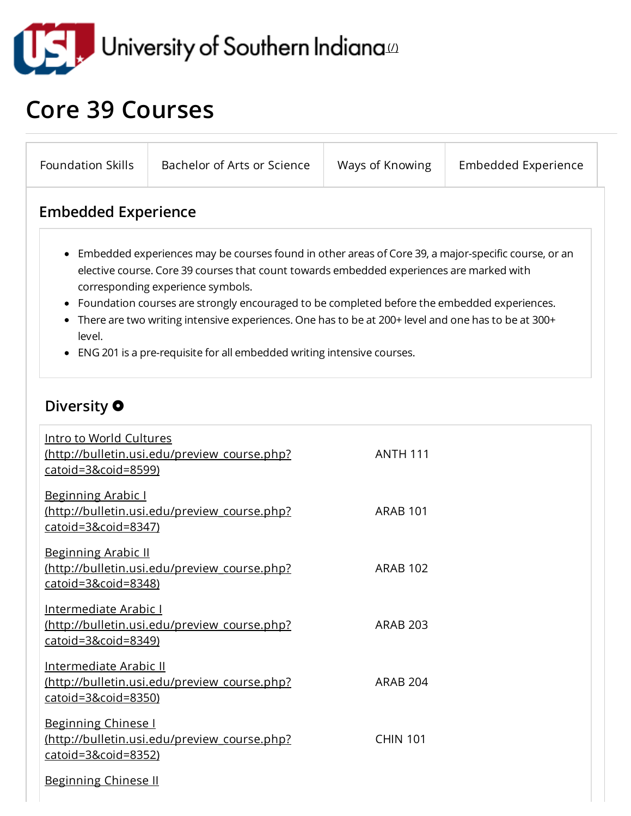

## Core 39 Courses

| <b>Foundation Skills</b>                                                                                                                                                                                                                                                                                                                                                                                                                                                                                                              | Bachelor of Arts or Science                  | Ways of Knowing | <b>Embedded Experience</b> |
|---------------------------------------------------------------------------------------------------------------------------------------------------------------------------------------------------------------------------------------------------------------------------------------------------------------------------------------------------------------------------------------------------------------------------------------------------------------------------------------------------------------------------------------|----------------------------------------------|-----------------|----------------------------|
| <b>Embedded Experience</b>                                                                                                                                                                                                                                                                                                                                                                                                                                                                                                            |                                              |                 |                            |
| • Embedded experiences may be courses found in other areas of Core 39, a major-specific course, or an<br>elective course. Core 39 courses that count towards embedded experiences are marked with<br>corresponding experience symbols.<br>• Foundation courses are strongly encouraged to be completed before the embedded experiences.<br>• There are two writing intensive experiences. One has to be at 200+ level and one has to be at 300+<br>level.<br>• ENG 201 is a pre-requisite for all embedded writing intensive courses. |                                              |                 |                            |
| Diversity <b>O</b><br>Intro to World Cultures                                                                                                                                                                                                                                                                                                                                                                                                                                                                                         | (http://bulletin.usi.edu/preview course.php? | <b>ANTH 111</b> |                            |
| catoid=3&coid=8599)<br><b>Beginning Arabic I</b><br>catoid=3&coid=8347)                                                                                                                                                                                                                                                                                                                                                                                                                                                               | (http://bulletin.usi.edu/preview_course.php? | <b>ARAB 101</b> |                            |
| <b>Beginning Arabic II</b><br><u>catoid=3&amp;coid=8348)</u>                                                                                                                                                                                                                                                                                                                                                                                                                                                                          | (http://bulletin.usi.edu/preview course.php? | <b>ARAB 102</b> |                            |
| Intermediate Arabic I<br>catoid=3&coid=8349)                                                                                                                                                                                                                                                                                                                                                                                                                                                                                          | (http://bulletin.usi.edu/preview course.php? | <b>ARAB 203</b> |                            |
| <b>Intermediate Arabic II</b><br>catoid=3&coid=8350)                                                                                                                                                                                                                                                                                                                                                                                                                                                                                  | (http://bulletin.usi.edu/preview course.php? | <b>ARAB 204</b> |                            |
| <b>Beginning Chinese I</b><br>catoid=3&coid=8352)                                                                                                                                                                                                                                                                                                                                                                                                                                                                                     | (http://bulletin.usi.edu/preview course.php? | <b>CHIN 101</b> |                            |
| <b>Beginning Chinese II</b>                                                                                                                                                                                                                                                                                                                                                                                                                                                                                                           |                                              |                 |                            |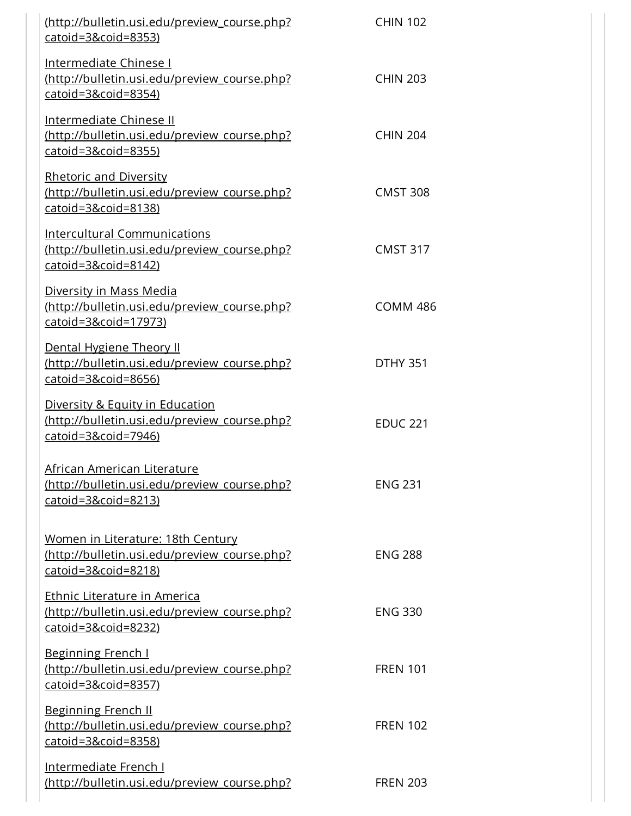| (http://bulletin.usi.edu/preview_course.php?<br>catoid=3&coid=8353)                                              | <b>CHIN 102</b> |
|------------------------------------------------------------------------------------------------------------------|-----------------|
| Intermediate Chinese I<br>(http://bulletin.usi.edu/preview course.php?<br>$catoid = 38coid = 8354$               | <b>CHIN 203</b> |
| <b>Intermediate Chinese II</b><br>(http://bulletin.usi.edu/preview course.php?<br>catoid=3&coid=8355)            | <b>CHIN 204</b> |
| <b>Rhetoric and Diversity</b><br>(http://bulletin.usi.edu/preview_course.php?<br>catoid=3&coid=8138)             | <b>CMST 308</b> |
| <b>Intercultural Communications</b><br>(http://bulletin.usi.edu/preview course.php?<br>$catoid = 3 &cold = 8142$ | <b>CMST 317</b> |
| Diversity in Mass Media<br>(http://bulletin.usi.edu/preview course.php?<br>catoid=3&coid=17973)                  | <b>COMM 486</b> |
| Dental Hygiene Theory II<br>(http://bulletin.usi.edu/preview_course.php?<br>catoid=3&coid=8656)                  | <b>DTHY 351</b> |
| Diversity & Equity in Education<br>(http://bulletin.usi.edu/preview course.php?<br>catoid=3&coid=7946)           | <b>EDUC 221</b> |
| African American Literature<br>http://bulletin.usi.edu/preview_course.php?<br>$catoid = 3 &cold = 8213$          | <b>ENG 231</b>  |
| Women in Literature: 18th Century<br>(http://bulletin.usi.edu/preview_course.php?<br>$catoid = 3&cide = 8218$    | <b>ENG 288</b>  |
| Ethnic Literature in America<br>(http://bulletin.usi.edu/preview course.php?<br>catoid=3&coid=8232)              | <b>ENG 330</b>  |
| <b>Beginning French I</b><br>http://bulletin.usi.edu/preview course.php?<br>catoid=3&coid=8357)                  | <b>FREN 101</b> |
| <b>Beginning French II</b><br>(http://bulletin.usi.edu/preview_course.php?<br>catoid=3&coid=8358)                | <b>FREN 102</b> |
| <u>Intermediate French I</u><br>(http://bulletin.usi.edu/preview course.php?                                     | <b>FREN 203</b> |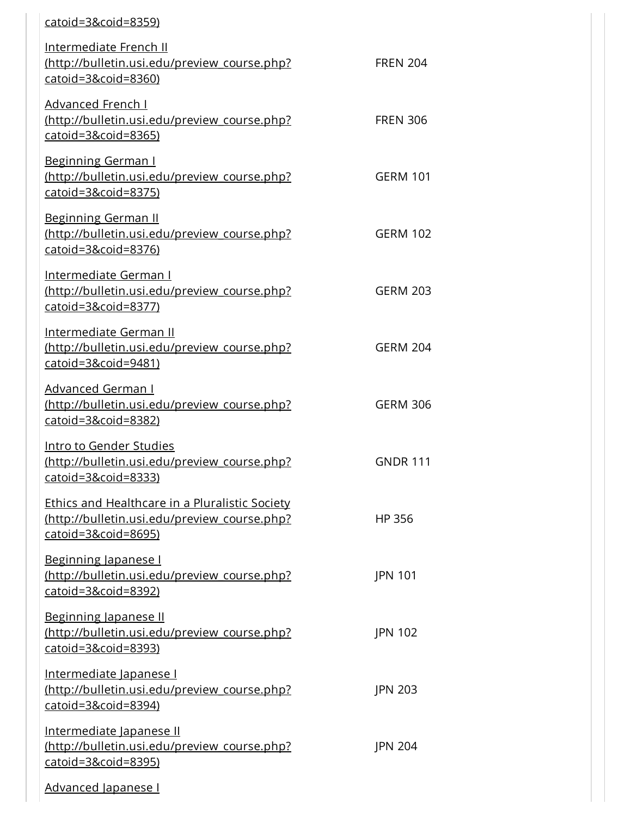| <u>catoid=3&amp;coid=8359)</u>                                                                                                          |                 |
|-----------------------------------------------------------------------------------------------------------------------------------------|-----------------|
| <b>Intermediate French II</b><br>(http://bulletin.usi.edu/preview course.php?<br>catoid=3&coid=8360)                                    | <b>FREN 204</b> |
| <b>Advanced French I</b><br>(http://bulletin.usi.edu/preview_course.php?<br>catoid=3&coid=8365)                                         | <b>FREN 306</b> |
| <b>Beginning German I</b><br>(http://bulletin.usi.edu/preview course.php?<br>catoid=3&coid=8375)                                        | <b>GERM 101</b> |
| <b>Beginning German II</b><br>(http://bulletin.usi.edu/preview course.php?<br>catoid=3&coid=8376)                                       | <b>GERM 102</b> |
| <b>Intermediate German I</b><br>(http://bulletin.usi.edu/preview_course.php?<br>catoid=3&coid=8377)                                     | <b>GERM 203</b> |
| <u>Intermediate German II</u><br>(http://bulletin.usi.edu/preview course.php?<br>$catoid = 38coid = 9481$                               | <b>GERM 204</b> |
| <b>Advanced German I</b><br>http://bulletin.usi.edu/preview course.php?<br>catoid=3&coid=8382)                                          | <b>GERM 306</b> |
| Intro to Gender Studies<br>(http://bulletin.usi.edu/preview_course.php?<br><u>catoid=3&amp;coid=8333)</u>                               | <b>GNDR 111</b> |
| <b>Ethics and Healthcare in a Pluralistic Society</b><br>(http://bulletin.usi.edu/preview course.php?<br><u>catoid=3&amp;coid=8695)</u> | HP 356          |
| Beginning Japanese I<br>(http://bulletin.usi.edu/preview course.php?<br>catoid=3&coid=8392)                                             | <b>JPN 101</b>  |
| Beginning Japanese II<br>(http://bulletin.usi.edu/preview course.php?<br>catoid=3&coid=8393)                                            | JPN 102         |
| Intermediate Japanese I<br>(http://bulletin.usi.edu/preview_course.php?<br>catoid=3&coid=8394)                                          | <b>JPN 203</b>  |
| Intermediate Japanese II<br>(http://bulletin.usi.edu/preview course.php?<br>catoid=3&coid=8395)                                         | <b>JPN 204</b>  |
| Advanced Japanese I                                                                                                                     |                 |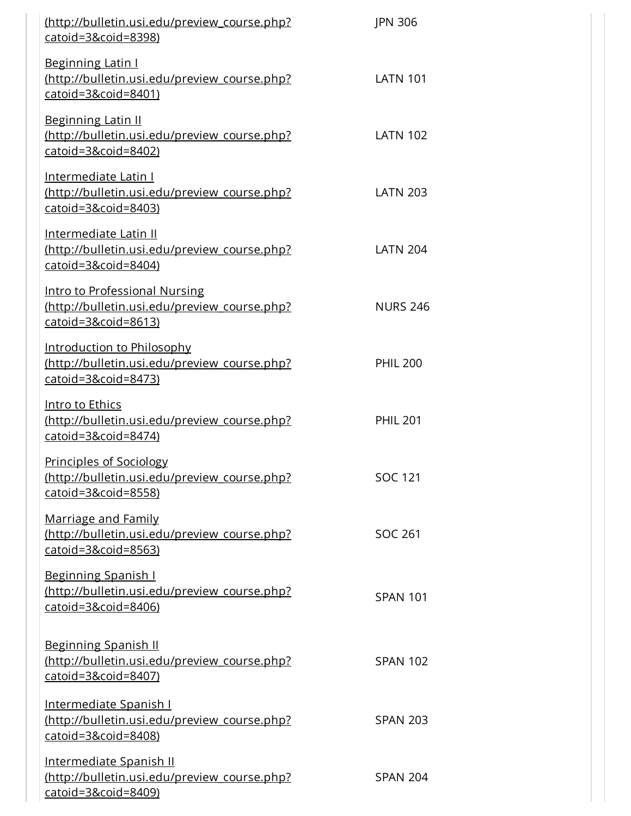| (http://bulletin.usi.edu/preview_course.php?<br>catoid=3&coid=8398)                                               | <b>JPN 306</b>  |
|-------------------------------------------------------------------------------------------------------------------|-----------------|
| <b>Beginning Latin I</b><br>(http://bulletin.usi.edu/preview course.php?<br>$catoid = 38\text{coid} = 8401)$      | <b>LATN 101</b> |
| <b>Beginning Latin II</b><br>(http://bulletin.usi.edu/preview course.php?<br>catoid=3&coid=8402)                  | <b>LATN 102</b> |
| <b>Intermediate Latin I</b><br>(http://bulletin.usi.edu/preview_course.php?<br>catoid=3&coid=8403)                | <b>LATN 203</b> |
| <b>Intermediate Latin II</b><br>(http://bulletin.usi.edu/preview course.php?<br>catoid=3&coid=8404)               | <b>LATN 204</b> |
| Intro to Professional Nursing<br>(http://bulletin.usi.edu/preview course.php?<br>$catoid = 38\text{coid} = 8613)$ | <b>NURS 246</b> |
| Introduction to Philosophy<br>(http://bulletin.usi.edu/preview_course.php?<br>$catoid = 3&cide = 8473$            | <b>PHIL 200</b> |
| <u>Intro to Ethics</u><br>(http://bulletin.usi.edu/preview course.php?<br>$catoid = 3&cide = 8474$                | <b>PHIL 201</b> |
| <b>Principles of Sociology</b><br>(http://bulletin.usi.edu/preview course.php?<br>catoid=3&coid=8558)             | <b>SOC 121</b>  |
| <b>Marriage and Family</b><br>(http://bulletin.usi.edu/preview course.php?<br>catoid=3&coid=8563)                 | <b>SOC 261</b>  |
| <u>Beginning Spanish I</u><br>(http://bulletin.usi.edu/preview_course.php?<br>catoid=3&coid=8406)                 | <b>SPAN 101</b> |
| <b>Beginning Spanish II</b><br>(http://bulletin.usi.edu/preview course.php?<br>catoid=3&coid=8407)                | <b>SPAN 102</b> |
| <u>Intermediate Spanish I</u><br>(http://bulletin.usi.edu/preview_course.php?<br>catoid=3&coid=8408)              | <b>SPAN 203</b> |
| <u>Intermediate Spanish II</u><br>(http://bulletin.usi.edu/preview course.php?<br>catoid=3&coid=8409)             | <b>SPAN 204</b> |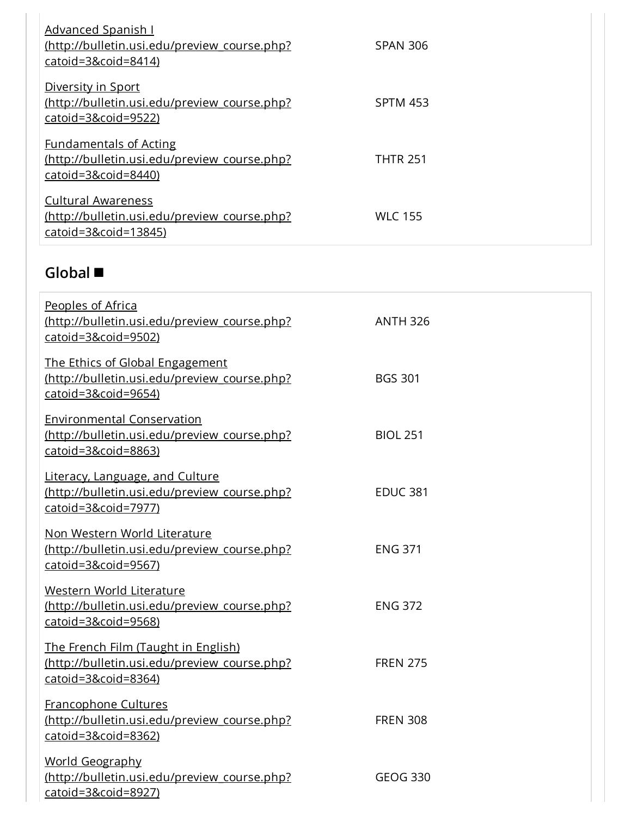| Advanced Spanish I<br>(http://bulletin.usi.edu/preview course.php?<br>catoid=3&coid=8414)                 | <b>SPAN 306</b> |
|-----------------------------------------------------------------------------------------------------------|-----------------|
| Diversity in Sport<br>(http://bulletin.usi.edu/preview course.php?<br>catoid=3&coid=9522)                 | <b>SPTM 453</b> |
| <b>Fundamentals of Acting</b><br>(http://bulletin.usi.edu/preview course.php?<br>$catoid = 3&cide = 8440$ | <b>THTR 251</b> |
| <b>Cultural Awareness</b><br>(http://bulletin.usi.edu/preview course.php?<br>$catoid = 38\ncoid = 13845$  | <b>WLC 155</b>  |

## Global

| Peoples of Africa<br>(http://bulletin.usi.edu/preview_course.php?<br>catoid=3&coid=9502)                     | <b>ANTH 326</b> |
|--------------------------------------------------------------------------------------------------------------|-----------------|
| The Ethics of Global Engagement<br>(http://bulletin.usi.edu/preview course.php?<br>$catoid = 38coid = 9654)$ | <b>BGS 301</b>  |
| <b>Environmental Conservation</b><br>(http://bulletin.usi.edu/preview course.php?<br>catoid=3&coid=8863)     | <b>BIOL 251</b> |
| Literacy, Language, and Culture<br>(http://bulletin.usi.edu/preview_course.php?<br>catoid=3&coid=7977)       | <b>EDUC 381</b> |
| Non Western World Literature<br>(http://bulletin.usi.edu/preview course.php?<br>catoid=3&coid=9567)          | <b>ENG 371</b>  |
| Western World Literature<br>(http://bulletin.usi.edu/preview course.php?<br>catoid=3&coid=9568)              | <b>ENG 372</b>  |
| The French Film (Taught in English)<br>(http://bulletin.usi.edu/preview course.php?<br>catoid=3&coid=8364)   | <b>FREN 275</b> |
| <b>Francophone Cultures</b><br>(http://bulletin.usi.edu/preview course.php?<br>catoid=3&coid=8362)           | <b>FREN 308</b> |
| <b>World Geography</b><br>(http://bulletin.usi.edu/preview course.php?<br>catoid=3&coid=8927)                | <b>GEOG 330</b> |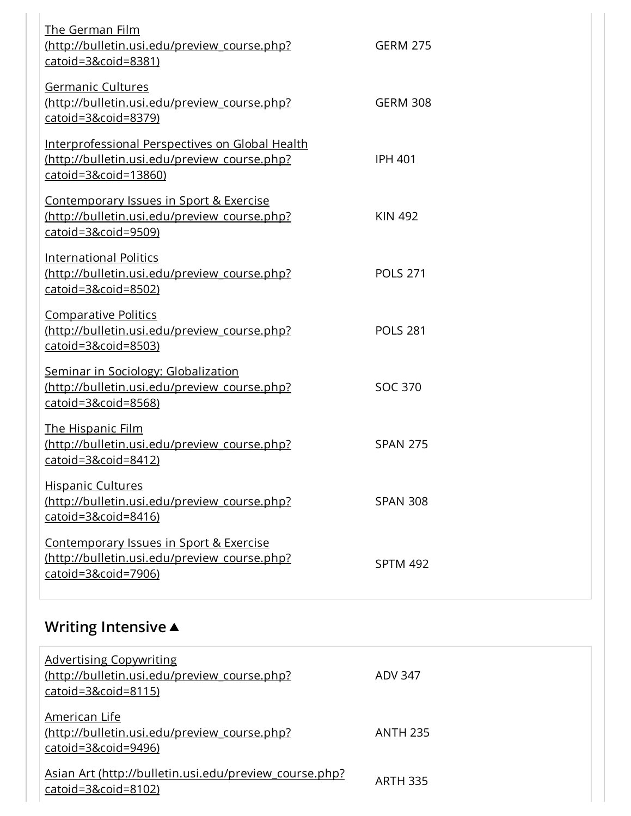| The German Film<br>(http://bulletin.usi.edu/preview_course.php?<br>catoid=3&coid=8381)                                  | <b>GERM 275</b> |
|-------------------------------------------------------------------------------------------------------------------------|-----------------|
| Germanic Cultures<br>(http://bulletin.usi.edu/preview course.php?<br>catoid=3&coid=8379)                                | <b>GERM 308</b> |
| Interprofessional Perspectives on Global Health<br>(http://bulletin.usi.edu/preview course.php?<br>catoid=3&coid=13860) | <b>IPH 401</b>  |
| Contemporary Issues in Sport & Exercise<br>(http://bulletin.usi.edu/preview course.php?<br>catoid=3&coid=9509)          | <b>KIN 492</b>  |
| <b>International Politics</b><br>(http://bulletin.usi.edu/preview course.php?<br>catoid=3&coid=8502)                    | <b>POLS 271</b> |
| <b>Comparative Politics</b><br>(http://bulletin.usi.edu/preview course.php?<br>$catoid = 3&cid=8503)$                   | <b>POLS 281</b> |
| Seminar in Sociology: Globalization<br>(http://bulletin.usi.edu/preview course.php?<br>catoid=3&coid=8568)              | <b>SOC 370</b>  |
| <b>The Hispanic Film</b><br>(http://bulletin.usi.edu/preview_course.php?<br>catoid=3&coid=8412)                         | <b>SPAN 275</b> |
| <b>Hispanic Cultures</b><br>(http://bulletin.usi.edu/preview course.php?<br>$catoid = 38\text{coid} = 8416)$            | <b>SPAN 308</b> |
| Contemporary Issues in Sport & Exercise<br>(http://bulletin.usi.edu/preview course.php?<br>catoid=3&coid=7906)          | <b>SPTM 492</b> |

## **Writing Intensive ▲**

| <b>Advertising Copywriting</b><br>(http://bulletin.usi.edu/preview course.php?<br>$catoid = 38\text{coid} = 8115$ | ADV 347         |
|-------------------------------------------------------------------------------------------------------------------|-----------------|
| American Life<br>(http://bulletin.usi.edu/preview course.php?<br>catoid=3&coid=9496)                              | <b>ANTH 235</b> |
| Asian Art (http://bulletin.usi.edu/preview course.php?<br>$catoid = 3&cid= 8102$                                  | <b>ARTH 335</b> |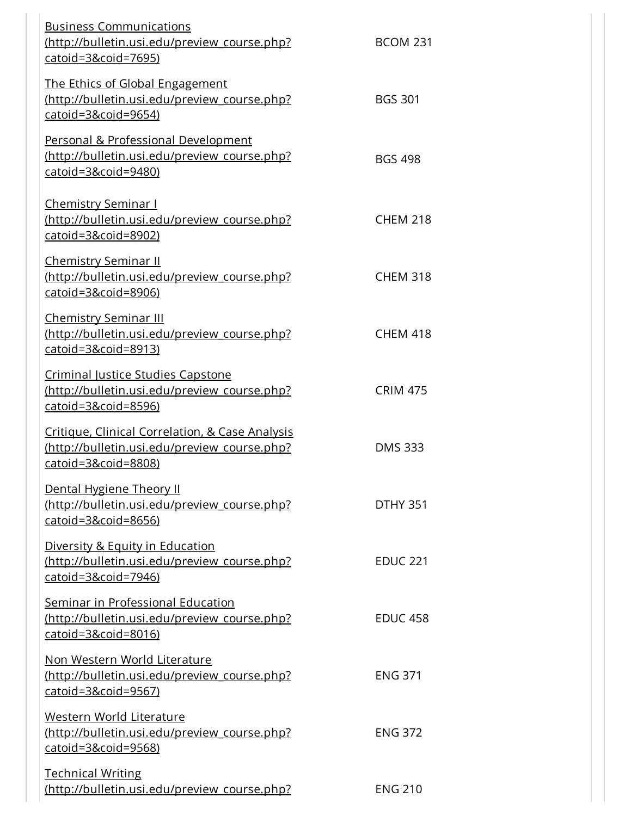| <b>Business Communications</b><br>http://bulletin.usi.edu/preview course.php?<br>catoid=3&coid=7695)                             | <b>BCOM 231</b> |
|----------------------------------------------------------------------------------------------------------------------------------|-----------------|
| The Ethics of Global Engagement<br>(http://bulletin.usi.edu/preview course.php?<br>catoid=3&coid=9654)                           | <b>BGS 301</b>  |
| Personal & Professional Development<br>(http://bulletin.usi.edu/preview course.php?<br>$\frac{catoid = 3&\text{coid} = 9480}{2}$ | <b>BGS 498</b>  |
| <b>Chemistry Seminar I</b><br>(http://bulletin.usi.edu/preview course.php?<br>$catoid = 38coid = 8902)$                          | <b>CHEM 218</b> |
| <u>Chemistry Seminar II</u><br>(http://bulletin.usi.edu/preview course.php?<br>catoid=3&coid=8906)                               | <b>CHEM 318</b> |
| <b>Chemistry Seminar III</b><br>(http://bulletin.usi.edu/preview course.php?<br>catoid=3&coid=8913)                              | <b>CHEM 418</b> |
| Criminal Justice Studies Capstone<br>(http://bulletin.usi.edu/preview course.php?<br>$catoid = 3&cid=8596)$                      | <b>CRIM 475</b> |
| Critique, Clinical Correlation, & Case Analysis<br>(http://bulletin.usi.edu/preview course.php?<br>catoid=3&coid=8808)           | <b>DMS 333</b>  |
| Dental Hygiene Theory II<br>(http://bulletin.usi.edu/preview course.php?<br>catoid=3&coid=8656)                                  | <b>DTHY 351</b> |
| Diversity & Equity in Education<br>(http://bulletin.usi.edu/preview course.php?<br>catoid=3&coid=7946)                           | <b>EDUC 221</b> |
| Seminar in Professional Education<br>(http://bulletin.usi.edu/preview course.php?<br>catoid=3&coid=8016)                         | <b>EDUC 458</b> |
| <u>Non Western World Literature</u><br>http://bulletin.usi.edu/preview course.php?<br>catoid=3&coid=9567)                        | <b>ENG 371</b>  |
| Western World Literature<br>(http://bulletin.usi.edu/preview course.php?<br>$catoid = 3&cide = 9568$                             | <b>ENG 372</b>  |
| <u>Technical Writing</u><br>(http://bulletin.usi.edu/preview course.php?                                                         | <b>ENG 210</b>  |